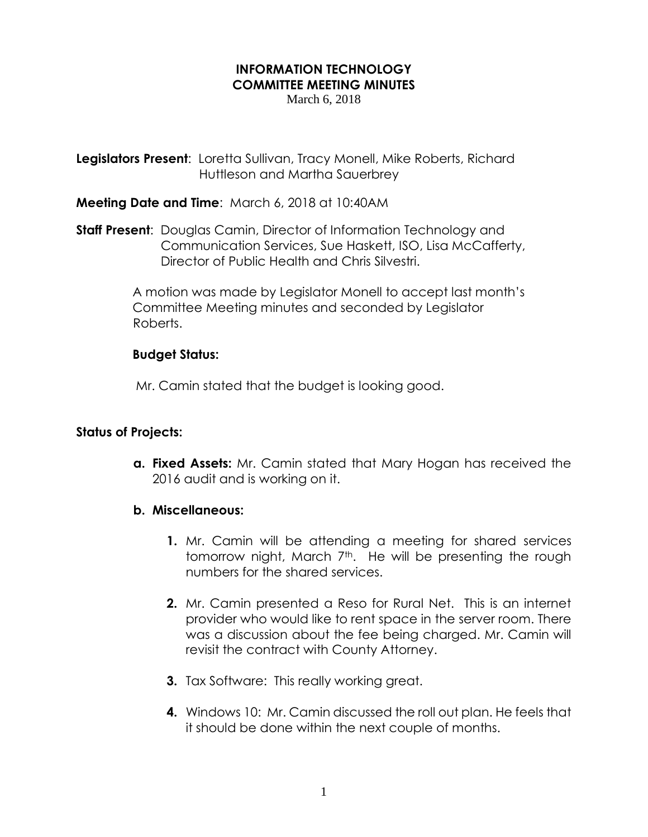# **INFORMATION TECHNOLOGY COMMITTEE MEETING MINUTES**

March 6, 2018

**Legislators Present**: Loretta Sullivan, Tracy Monell, Mike Roberts, Richard Huttleson and Martha Sauerbrey

### **Meeting Date and Time**: March 6, 2018 at 10:40AM

**Staff Present**: Douglas Camin, Director of Information Technology and Communication Services, Sue Haskett, ISO, Lisa McCafferty, Director of Public Health and Chris Silvestri.

> A motion was made by Legislator Monell to accept last month's Committee Meeting minutes and seconded by Legislator Roberts.

## **Budget Status:**

Mr. Camin stated that the budget is looking good.

### **Status of Projects:**

**a. Fixed Assets:** Mr. Camin stated that Mary Hogan has received the 2016 audit and is working on it.

### **b. Miscellaneous:**

- **1.** Mr. Camin will be attending a meeting for shared services tomorrow night, March 7<sup>th</sup>. He will be presenting the rough numbers for the shared services.
- **2.** Mr. Camin presented a Reso for Rural Net. This is an internet provider who would like to rent space in the server room. There was a discussion about the fee being charged. Mr. Camin will revisit the contract with County Attorney.
- **3.** Tax Software: This really working great.
- **4.** Windows 10: Mr. Camin discussed the roll out plan. He feels that it should be done within the next couple of months.